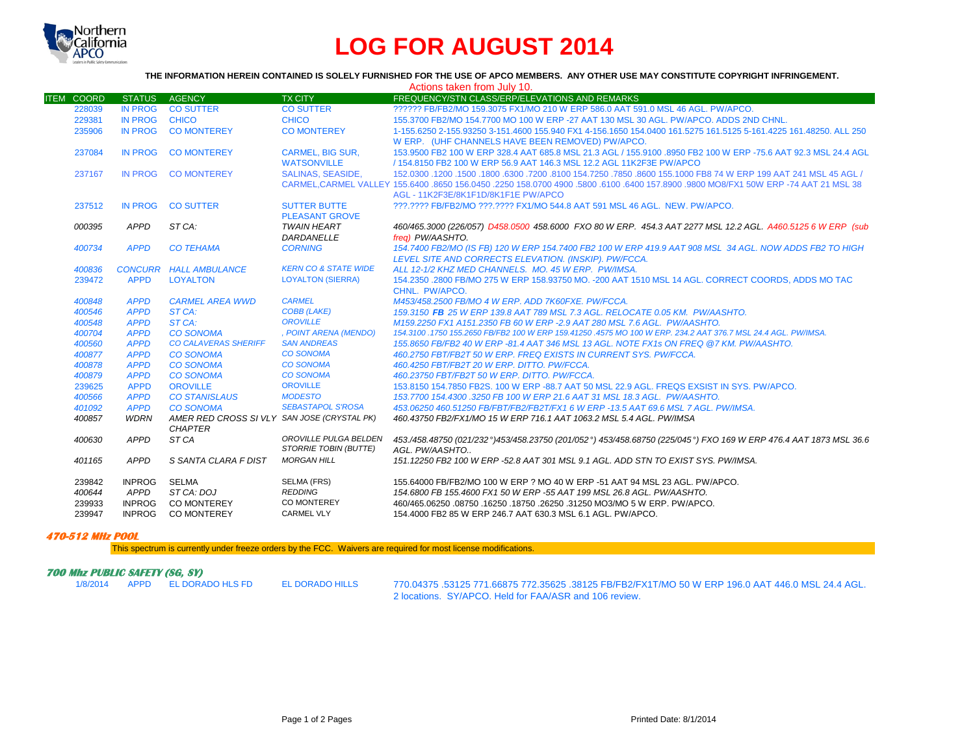

## **LOG FOR AUGUST 2014**

## **THE INFORMATION HEREIN CONTAINED IS SOLELY FURNISHED FOR THE USE OF APCO MEMBERS. ANY OTHER USE MAY CONSTITUTE COPYRIGHT INFRINGEMENT.**

| Actions taken from July 10. |                            |                                             |                                       |                                                                                                                                                                                           |  |  |  |  |
|-----------------------------|----------------------------|---------------------------------------------|---------------------------------------|-------------------------------------------------------------------------------------------------------------------------------------------------------------------------------------------|--|--|--|--|
| <b>ITEM COORD</b>           | <b>STATUS</b>              | <b>AGENCY</b>                               | <b>TX CITY</b>                        | FREQUENCY/STN CLASS/ERP/ELEVATIONS AND REMARKS                                                                                                                                            |  |  |  |  |
| 228039                      | <b>IN PROG</b>             | <b>CO SUTTER</b>                            | <b>CO SUTTER</b>                      | ?????? FB/FB2/MO 159.3075 FX1/MO 210 W ERP 586.0 AAT 591.0 MSL 46 AGL, PW/APCO.                                                                                                           |  |  |  |  |
| 229381                      | IN PROG CHICO              |                                             | <b>CHICO</b>                          | 155.3700 FB2/MO 154.7700 MO 100 W ERP -27 AAT 130 MSL 30 AGL, PW/APCO, ADDS 2ND CHNL.                                                                                                     |  |  |  |  |
| 235906                      | <b>IN PROG</b>             | <b>CO MONTEREY</b>                          | <b>CO MONTEREY</b>                    | 1-155.6250 2-155.93250 3-151.4600 155.940 FX1 4-156.1650 154.0400 161.5275 161.5125 5-161.4225 161.48250. ALL 250                                                                         |  |  |  |  |
|                             |                            |                                             |                                       | W ERP. (UHF CHANNELS HAVE BEEN REMOVED) PW/APCO.                                                                                                                                          |  |  |  |  |
| 237084                      | <b>IN PROG</b>             | <b>CO MONTEREY</b>                          | <b>CARMEL, BIG SUR,</b>               | 153,9500 FB2 100 W ERP 328.4 AAT 685.8 MSL 21.3 AGL / 155,9100 .8950 FB2 100 W ERP -75.6 AAT 92.3 MSL 24.4 AGL                                                                            |  |  |  |  |
|                             |                            |                                             | <b>WATSONVILLE</b>                    | / 154.8150 FB2 100 W ERP 56.9 AAT 146.3 MSL 12.2 AGL 11K2F3E PW/APCO                                                                                                                      |  |  |  |  |
| 237167                      |                            | IN PROG CO MONTEREY                         | <b>SALINAS, SEASIDE.</b>              | 152,0300 1200 1500 1800 .6300 7200 .8100 154.7250 .7850 .8600 155.1000 FB8 74 W ERP 199 AAT 241 MSL 45 AGL /                                                                              |  |  |  |  |
|                             |                            |                                             |                                       | CARMEL.CARMEL VALLEY 155,6400 .8650 156,0450 .2250 158,0700 4900 .5800 .6100 .6400 157,8900 .9800 MO8/FX1 50W ERP -74 AAT 21 MSL 38                                                       |  |  |  |  |
|                             |                            |                                             |                                       | AGL - 11K2F3E/8K1F1D/8K1F1E PW/APCO                                                                                                                                                       |  |  |  |  |
| 237512                      | IN PROG                    | <b>CO SUTTER</b>                            | <b>SUTTER BUTTE</b>                   | ???.???? FB/FB2/MO ???.???? FX1/MO 544.8 AAT 591 MSL 46 AGL. NEW. PW/APCO.                                                                                                                |  |  |  |  |
|                             |                            |                                             | <b>PLEASANT GROVE</b>                 |                                                                                                                                                                                           |  |  |  |  |
| 000395                      | APPD                       | ST CA:                                      | <b>TWAIN HEART</b>                    | 460/465.3000 (226/057) D458.0500 458.6000 FXO 80 W ERP. 454.3 AAT 2277 MSL 12.2 AGL. A460.5125 6 W ERP (sub                                                                               |  |  |  |  |
|                             |                            |                                             | DARDANELLE                            | frea) PW/AASHTO.                                                                                                                                                                          |  |  |  |  |
| 400734                      | <b>APPD</b>                | <b>CO TEHAMA</b>                            | <b>CORNING</b>                        | 154.7400 FB2/MO (IS FB) 120 W ERP 154.7400 FB2 100 W ERP 419.9 AAT 908 MSL 34 AGL. NOW ADDS FB2 TO HIGH                                                                                   |  |  |  |  |
|                             |                            |                                             |                                       | LEVEL SITE AND CORRECTS ELEVATION. (INSKIP). PW/FCCA.                                                                                                                                     |  |  |  |  |
| 400836                      |                            | <b>CONCURR HALL AMBULANCE</b>               | <b>KERN CO &amp; STATE WIDE</b>       | ALL 12-1/2 KHZ MED CHANNELS. MO. 45 W ERP. PW/IMSA.                                                                                                                                       |  |  |  |  |
| 239472                      | <b>APPD</b>                | <b>LOYALTON</b>                             | <b>LOYALTON (SIERRA)</b>              | 154.2350 .2800 FB/MO 275 W ERP 158.93750 MO. - 200 AAT 1510 MSL 14 AGL. CORRECT COORDS, ADDS MO TAC                                                                                       |  |  |  |  |
|                             |                            |                                             |                                       | CHNL. PW/APCO.                                                                                                                                                                            |  |  |  |  |
| 400848                      | <b>APPD</b>                | <b>CARMEL AREA WWD</b>                      | <b>CARMEL</b>                         | M453/458.2500 FB/MO 4 W ERP. ADD 7K60FXE. PW/FCCA.                                                                                                                                        |  |  |  |  |
| 400546<br>400548            | <b>APPD</b>                | ST CA:<br>ST CA:                            | <b>COBB (LAKE)</b><br><b>OROVILLE</b> | 159.3150 FB 25 W ERP 139.8 AAT 789 MSL 7.3 AGL. RELOCATE 0.05 KM. PW/AASHTO.                                                                                                              |  |  |  |  |
| 400704                      | <b>APPD</b><br><b>APPD</b> | <b>CO SONOMA</b>                            | , POINT ARENA (MENDO)                 | M159.2250 FX1 A151.2350 FB 60 W ERP -2.9 AAT 280 MSL 7.6 AGL, PW/AASHTO.<br>154.3100 .1750 155.2650 FB/FB2 100 W ERP 159.41250 .4575 MO 100 W ERP. 234.2 AAT 376.7 MSL 24.4 AGL. PW/IMSA. |  |  |  |  |
| 400560                      | <b>APPD</b>                | <b>CO CALAVERAS SHERIFF</b>                 | <b>SAN ANDREAS</b>                    | 155.8650 FB/FB2 40 W ERP -81.4 AAT 346 MSL 13 AGL. NOTE FX1s ON FREQ @7 KM, PW/AASHTO.                                                                                                    |  |  |  |  |
| 400877                      | <b>APPD</b>                | <b>CO SONOMA</b>                            | <b>CO SONOMA</b>                      | 460.2750 FBT/FB2T 50 W ERP. FREQ EXISTS IN CURRENT SYS. PW/FCCA.                                                                                                                          |  |  |  |  |
| 400878                      | <b>APPD</b>                | <b>CO SONOMA</b>                            | <b>CO SONOMA</b>                      | 460.4250 FBT/FB2T 20 W ERP. DITTO. PW/FCCA.                                                                                                                                               |  |  |  |  |
| 400879                      | <b>APPD</b>                | <b>CO SONOMA</b>                            | <b>CO SONOMA</b>                      | 460.23750 FBT/FB2T 50 W ERP. DITTO. PW/FCCA.                                                                                                                                              |  |  |  |  |
| 239625                      | <b>APPD</b>                | <b>OROVILLE</b>                             | <b>OROVILLE</b>                       | 153.8150 154.7850 FB2S, 100 W ERP -88.7 AAT 50 MSL 22.9 AGL, FREQS EXSIST IN SYS, PW/APCO,                                                                                                |  |  |  |  |
| 400566                      | <b>APPD</b>                | <b>CO STANISLAUS</b>                        | <b>MODESTO</b>                        | 153.7700 154.4300 .3250 FB 100 W ERP 21.6 AAT 31 MSL 18.3 AGL. PW/AASHTO.                                                                                                                 |  |  |  |  |
| 401092                      | <b>APPD</b>                | <b>CO SONOMA</b>                            | <b>SEBASTAPOL S'ROSA</b>              | 453.06250 460.51250 FB/FBT/FB2/FB2T/FX1 6 W ERP -13.5 AAT 69.6 MSL 7 AGL. PW/IMSA.                                                                                                        |  |  |  |  |
| 400857                      | <b>WDRN</b>                | AMER RED CROSS SI VLY SAN JOSE (CRYSTAL PK) |                                       | 460.43750 FB2/FX1/MO 15 W ERP 716.1 AAT 1063.2 MSL 5.4 AGL, PW/IMSA                                                                                                                       |  |  |  |  |
|                             |                            | <b>CHAPTER</b>                              |                                       |                                                                                                                                                                                           |  |  |  |  |
| 400630                      | <b>APPD</b>                | ST CA                                       | OROVILLE PULGA BELDEN                 | 453./458.48750 (021/232°)453/458.23750 (201/052°) 453/458.68750 (225/045°) FXO 169 W ERP 476.4 AAT 1873 MSL 36.6                                                                          |  |  |  |  |
|                             |                            |                                             | STORRIE TOBIN (BUTTE)                 | AGL. PW/AASHTO                                                                                                                                                                            |  |  |  |  |
| 401165                      | <b>APPD</b>                | S SANTA CLARA F DIST                        | <b>MORGAN HILL</b>                    | 151.12250 FB2 100 W ERP -52.8 AAT 301 MSL 9.1 AGL. ADD STN TO EXIST SYS. PW/IMSA.                                                                                                         |  |  |  |  |
|                             |                            |                                             |                                       |                                                                                                                                                                                           |  |  |  |  |
| 239842                      | <b>INPROG</b>              | SELMA<br>ST CA: DOJ                         | SELMA (FRS)<br><b>REDDING</b>         | 155,64000 FB/FB2/MO 100 W ERP ? MO 40 W ERP -51 AAT 94 MSL 23 AGL, PW/APCO.                                                                                                               |  |  |  |  |
| 400644                      | APPD                       | <b>CO MONTEREY</b>                          | CO MONTEREY                           | 154.6800 FB 155.4600 FX1 50 W ERP -55 AAT 199 MSL 26.8 AGL. PW/AASHTO.<br>460/465.06250 .08750 .16250 .18750 .26250 .31250 MO3/MO 5 W ERP. PW/APCO.                                       |  |  |  |  |
| 239933                      | <b>INPROG</b>              | <b>CO MONTEREY</b>                          | <b>CARMEL VLY</b>                     |                                                                                                                                                                                           |  |  |  |  |
| 239947                      | <b>INPROG</b>              |                                             |                                       | 154,4000 FB2 85 W ERP 246.7 AAT 630.3 MSL 6.1 AGL, PW/APCO.                                                                                                                               |  |  |  |  |

## **470-512 MHz POOL**

This spectrum is currently under freeze orders by the FCC. Waivers are required for most license modifications.

## **700 Mhz PUBLIC SAFETY (SG, SY)**

1/8/2014 APPD EL DORADO HLS FD EL DORADO HILLS 770.04375 .53125 771.66875 772.35625 .38125 FB/FB2/FX1T/MO 50 W ERP 196.0 AAT 446.0 MSL 24.4 AGL. 2 locations. SY/APCO. Held for FAA/ASR and 106 review.